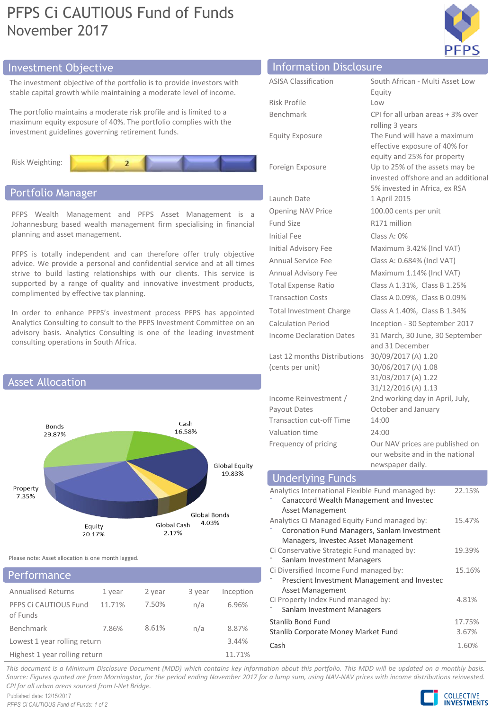# PFPS Ci CAUTIOUS Fund of Funds November 2017



# Investment Objective

The investment objective of the portfolio is to provide investors with stable capital growth while maintaining a moderate level of income.

The portfolio maintains a moderate risk profile and is limited to a maximum equity exposure of 40%. The portfolio complies with the investment guidelines governing retirement funds.



# Portfolio Manager

PFPS Wealth Management and PFPS Asset Management is a Johannesburg based wealth management firm specialising in financial planning and asset management.

PFPS is totally independent and can therefore offer truly objective advice. We provide a personal and confidential service and at all times strive to build lasting relationships with our clients. This service is supported by a range of quality and innovative investment products, complimented by effective tax planning.

In order to enhance PFPS's investment process PFPS has appointed Analytics Consulting to consult to the PFPS Investment Committee on an advisory basis. Analytics Consulting is one of the leading investment consulting operations in South Africa.



Please note: Asset allocation is one month lagged.

# Annualised Returns 1 year 2 year 3 year Inception PFPS Ci CAUTIOUS Fund of Funds 11.71% 7.50% n/a 6.96% Benchmark 7.86% 8.61% n/a 8.87% Lowest 1 year rolling return 3.44% Highest 1 year rolling return 11.71% Performance

| <b>Information Disclosure</b>                    |                                                                                                                 |
|--------------------------------------------------|-----------------------------------------------------------------------------------------------------------------|
| <b>ASISA Classification</b>                      | South African - Multi Asset Low                                                                                 |
|                                                  | Equity                                                                                                          |
| Risk Profile                                     | Low                                                                                                             |
| Benchmark                                        | CPI for all urban areas + 3% over                                                                               |
| <b>Equity Exposure</b>                           | rolling 3 years<br>The Fund will have a maximum<br>effective exposure of 40% for<br>equity and 25% for property |
| Foreign Exposure                                 | Up to 25% of the assets may be<br>invested offshore and an additional<br>5% invested in Africa, ex RSA          |
| Launch Date                                      | 1 April 2015                                                                                                    |
| <b>Opening NAV Price</b>                         | 100.00 cents per unit                                                                                           |
| Fund Size                                        | R171 million                                                                                                    |
| <b>Initial Fee</b>                               | Class A: $0\%$                                                                                                  |
| Initial Advisory Fee                             | Maximum 3.42% (Incl VAT)                                                                                        |
| <b>Annual Service Fee</b>                        | Class A: 0.684% (Incl VAT)                                                                                      |
| Annual Advisory Fee                              | Maximum 1.14% (Incl VAT)                                                                                        |
| <b>Total Expense Ratio</b>                       | Class A 1.31%, Class B 1.25%                                                                                    |
| <b>Transaction Costs</b>                         | Class A 0.09%, Class B 0.09%                                                                                    |
| <b>Total Investment Charge</b>                   | Class A 1.40%, Class B 1.34%                                                                                    |
| Calculation Period                               | Inception - 30 September 2017                                                                                   |
| Income Declaration Dates                         | 31 March, 30 June, 30 September<br>and 31 December                                                              |
| Last 12 months Distributions<br>(cents per unit) | 30/09/2017 (A) 1.20<br>30/06/2017 (A) 1.08<br>31/03/2017 (A) 1.22<br>31/12/2016 (A) 1.13                        |
| Income Reinvestment /                            | 2nd working day in April, July,                                                                                 |
| Payout Dates                                     | October and January                                                                                             |
| <b>Transaction cut-off Time</b>                  | 14:00                                                                                                           |
| Valuation time                                   | 24:00                                                                                                           |

Frequency of pricing **Our NAV prices are published on** our website and in the national newspaper daily.

| <b>Underlying Funds</b>                           |        |
|---------------------------------------------------|--------|
| Analytics International Flexible Fund managed by: | 22.15% |
| Canaccord Wealth Management and Investec          |        |
| Asset Management                                  |        |
| Analytics Ci Managed Equity Fund managed by:      | 15.47% |
| Coronation Fund Managers, Sanlam Investment       |        |
| Managers, Investec Asset Management               |        |
| Ci Conservative Strategic Fund managed by:        | 19.39% |
| Sanlam Investment Managers                        |        |
| Ci Diversified Income Fund managed by:            | 15.16% |
| Prescient Investment Management and Investec      |        |
| Asset Management                                  |        |
| Ci Property Index Fund managed by:                | 4.81%  |
| Sanlam Investment Managers                        |        |
| Stanlib Bond Fund                                 | 17.75% |
| Stanlib Corporate Money Market Fund               | 3.67%  |
| Cash                                              | 1.60%  |

This document is a Minimum Disclosure Document (MDD) which contains key information about this portfolio. This MDD will be updated on a monthly basis. Source: Figures guoted are from Morningstar, for the period ending November 2017 for a lump sum, using NAV-NAV prices with income distributions reinvested. *CPI for all urban areas sourced from I-Net Bridge.*

Published date: 12/15/2017 *PFPS Ci CAUTIOUS Fund of Funds: 1 of 2*